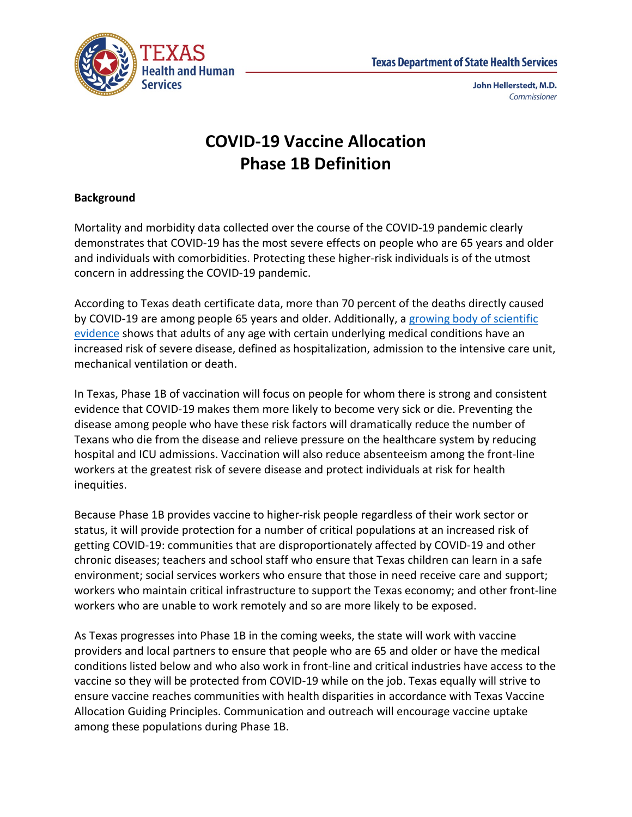

## **COVID-19 Vaccine Allocation Phase 1B Definition**

## **Background**

Mortality and morbidity data collected over the course of the COVID-19 pandemic clearly demonstrates that COVID-19 has the most severe effects on people who are 65 years and older and individuals with comorbidities. Protecting these higher-risk individuals is of the utmost concern in addressing the COVID-19 pandemic.

According to Texas death certificate data, more than 70 percent of the deaths directly caused by COVID-19 are among people 65 years and older. Additionally, a [growing body of scientific](https://www.cdc.gov/coronavirus/2019-ncov/need-extra-precautions/evidence-table.html)  [evidence](https://www.cdc.gov/coronavirus/2019-ncov/need-extra-precautions/evidence-table.html) shows that adults of any age with certain underlying medical conditions have an increased risk of severe disease, defined as hospitalization, admission to the intensive care unit, mechanical ventilation or death.

In Texas, Phase 1B of vaccination will focus on people for whom there is strong and consistent evidence that COVID-19 makes them more likely to become very sick or die. Preventing the disease among people who have these risk factors will dramatically reduce the number of Texans who die from the disease and relieve pressure on the healthcare system by reducing hospital and ICU admissions. Vaccination will also reduce absenteeism among the front-line workers at the greatest risk of severe disease and protect individuals at risk for health inequities.

Because Phase 1B provides vaccine to higher-risk people regardless of their work sector or status, it will provide protection for a number of critical populations at an increased risk of getting COVID-19: communities that are disproportionately affected by COVID-19 and other chronic diseases; teachers and school staff who ensure that Texas children can learn in a safe environment; social services workers who ensure that those in need receive care and support; workers who maintain critical infrastructure to support the Texas economy; and other front-line workers who are unable to work remotely and so are more likely to be exposed.

As Texas progresses into Phase 1B in the coming weeks, the state will work with vaccine providers and local partners to ensure that people who are 65 and older or have the medical conditions listed below and who also work in front-line and critical industries have access to the vaccine so they will be protected from COVID-19 while on the job. Texas equally will strive to ensure vaccine reaches communities with health disparities in accordance with Texas Vaccine Allocation Guiding Principles. Communication and outreach will encourage vaccine uptake among these populations during Phase 1B.